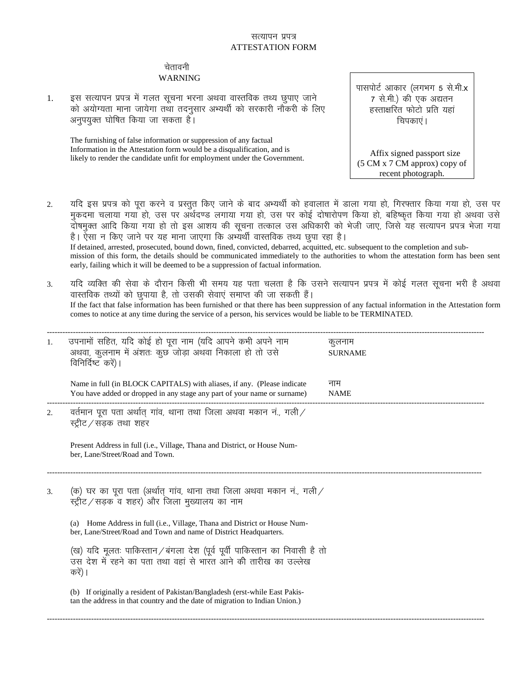## सत्यापन प्रपत्र ATTESTATION FORM

## चेतावनी WARNING

1. इस सत्यापन प्रपत्र में गलत सूचना भरना अथवा वास्तविक तथ्य छुपाए जाने को अयोग्यता माना जायेगा तथा तदनुसार अभ्यर्थी को सरकारी नौकरी के लिए अनुपयुक्त घोषित किया जा सकता है।

The furnishing of false information or suppression of any factual Information in the Attestation form would be a disqualification, and is likely to render the candidate unfit for employment under the Government. पासपोर्ट आकार (लगभग 5 से.मी.**x** 7 से.मी.) की एक अद्यतन हस्ताक्षरित फोटो प्रति यहां चिपकाएं ।

 Affix signed passport size (5 CM x 7 CM approx) copy of recent photograph.

- 2. यदि इस प्रपत्र को पूरा करने व प्रस्तुत किए जाने के बाद अभ्यर्थी को हवालात में डाला गया हो, गिरफ्तार किया गया हो, उस पर मुकदमा चलाया गया हो, उस पर अर्थदण्ड लगाया गया हो, उस पर कोई दोषारोपण किया हो, बहिष्कृत किया गया हो अथवा उसे ने पर रही के अग्री हो में इस आशय की सूचना तत्काल उस अधिकारी को भेजी जाए, जिसे यह सत्यापन प्रपत्र भेजा गया है। ऐसा न किए जाने पर यह माना जाएगा कि अभ्यर्थी वास्तविक तथ्य छूपा रहा है। If detained, arrested, prosecuted, bound down, fined, convicted, debarred, acquitted, etc. subsequent to the completion and submission of this form, the details should be communicated immediately to the authorities to whom the attestation form has been sent early, failing which it will be deemed to be a suppression of factual information.
- 3. यदि व्यक्ति की सेवा के दौरान किसी भी समय यह पता चलता है कि उसने सत्यापन प्रपत्र में कोई गलत सूचना भरी है अथवा वास्तविक तथ्यों को छुपाया है, तो उसकी सेवाएं समाप्त की जा सकती हैं। If the fact that false information has been furnished or that there has been suppression of any factual information in the Attestation form comes to notice at any time during the service of a person, his services would be liable to be TERMINATED.

| 1. | उपनामों सहित, यदि कोई हो पूरा नाम (यदि आपने कभी अपने नाम<br>अथवा, कुलनाम में अंशतः कुछ जोड़ा अथवा निकाला हो तो उसे<br>विनिर्दिष्ट करें)।                                                                                                                              | कुलनाम<br><b>SURNAME</b> |  |  |
|----|-----------------------------------------------------------------------------------------------------------------------------------------------------------------------------------------------------------------------------------------------------------------------|--------------------------|--|--|
|    | Name in full (in BLOCK CAPITALS) with aliases, if any. (Please indicate<br>You have added or dropped in any stage any part of your name or surname)                                                                                                                   | नाम<br><b>NAME</b>       |  |  |
| 2. | वर्तमान पूरा पता अर्थात् गांव, थाना तथा जिला अथवा मकान नं., गली<br>स्ट्रीट / सडक तथा शहर                                                                                                                                                                              |                          |  |  |
|    | Present Address in full (i.e., Village, Thana and District, or House Num-<br>ber, Lane/Street/Road and Town.                                                                                                                                                          |                          |  |  |
| 3. | (क) घर का पूरा पता (अर्थात् गांव, थाना तथा जिला अथवा मकान नं, गली/<br>स्ट्रीट / सड़क व शहर) और जिला मुख्यालय का नाम<br>(a) Home Address in full (i.e., Village, Thana and District or House Num-<br>ber, Lane/Street/Road and Town and name of District Headquarters. |                          |  |  |
|    | (ख) यदि मूलतः पाकिस्तान/बंगला देश (पूर्व पूर्वी पाकिस्तान का निवासी है तो<br>उस देश में रहने का पता तथा वहां से भारत आने की तारीख का उल्लेख<br>करें)                                                                                                                  |                          |  |  |
|    | (b) If originally a resident of Pakistan/Bangladesh (erst-while East Pakis-<br>tan the address in that country and the date of migration to Indian Union.)                                                                                                            |                          |  |  |
|    |                                                                                                                                                                                                                                                                       |                          |  |  |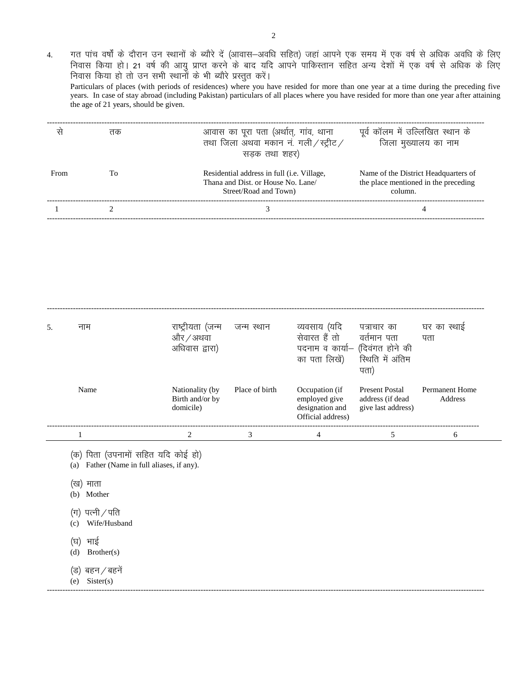4. गत पांच वर्षों के दौरान उन स्थानों के ब्यौरे दें (आवास–अवधि सहित) जहां आपने एक समय में एक वर्ष से अधिक अवधि के लिए निवास किया हो। 21 वर्ष की आयु प्राप्त करने के बाद यदि आपने पाकिस्तान सहित अन्य देशों में एक वर्ष से अधिक के लिए निवास किया हो तो उन सभी स्थानों के भी ब्यौरे प्रस्तुत करें। Particulars of places (with periods of residences) where you have resided for more than one year at a time during the preceding five years. In case of stay abroad (including Pakistan) particulars of all places where you have resided for more than one year after attaining the age of 21 years, should be given. ------------------------------------------------------------------------------------------------------------------------------------------------------------------------

|      | तक | आवास का पूरा पता (अर्थात्, गांव, थाना<br>तथा जिला अथवा मकान नं. गली / स्ट्रीट /<br>सडक तथा शहर)                   | पूर्व कॉलम में उल्लिखित स्थान के<br>जिला मुख्यालय का नाम                                |
|------|----|-------------------------------------------------------------------------------------------------------------------|-----------------------------------------------------------------------------------------|
| From | Tο | Residential address in full ( <i>i.e.</i> Village,<br>Thana and Dist. or House No. Lane/<br>Street/Road and Town) | Name of the District Headquarters of<br>the place mentioned in the preceding<br>column. |
|      |    |                                                                                                                   |                                                                                         |

| 5. | नाम  | राष्ट्रीयता (जन्म<br>और / अथवा<br>अधिवास द्वारा) | जन्म स्थान     | व्यवसाय (यदि<br>सेवारत हैं तो<br>पदनाम व कार्या- (दिवंगत होने की                     | पत्राचार का<br>वर्तमान पता                                              | घर का स्थाई<br>पता               |
|----|------|--------------------------------------------------|----------------|--------------------------------------------------------------------------------------|-------------------------------------------------------------------------|----------------------------------|
|    | Name | Nationality (by)<br>Birth and/or by<br>domicile) | Place of birth | का पता लिखें) स्थिति में अंतिम<br>Occupation (if<br>employed give<br>designation and | पता)<br><b>Present Postal</b><br>address (if dead<br>give last address) | <b>Permanent Home</b><br>Address |
|    |      |                                                  | 3              | Official address)<br>4                                                               |                                                                         | 6                                |

------------------------------------------------------------------------------------------------------------------------------------------------------------------------

(क) पिता (उपनामों सहित यदि कोई हो)

(a) Father (Name in full aliases, if any).

- (ख) माता
- (b) Mother
- $(\overline{\mathfrak{q}})$  पत्नी / पति
- (c) Wife/Husband
- (घ) भाई
- (d) Brother(s)
- (ड) बहन ⁄ बहनें
- (e) Sister(s)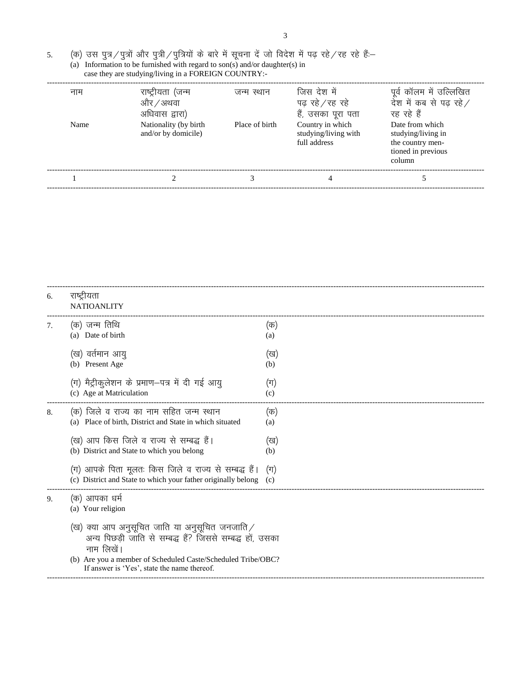(a) Information to be furnished with regard to son(s) and/or daughter(s) in

case they are studying/living in a FOREIGN COUNTRY:-

| नाम  | राष्ट्रीयता (जन्म<br>और / अथवा<br>अधिवास द्वारा) | जन्म स्थान     | जिस देश में<br>पढ रहे ⁄ रह रहे<br>हैं, उसका पूरा पता     | पूर्व कॉलम में उल्लिखित<br>देश में कब से पढ़ रहे ⁄<br>रह रहे हैं                          |
|------|--------------------------------------------------|----------------|----------------------------------------------------------|-------------------------------------------------------------------------------------------|
| Name | Nationality (by birth<br>and/or by domicile)     | Place of birth | Country in which<br>studying/living with<br>full address | Date from which<br>studying/living in<br>the country men-<br>tioned in previous<br>column |
|      |                                                  |                |                                                          |                                                                                           |
|      |                                                  |                |                                                          |                                                                                           |

| 6. | राष्ट्रीयता<br><b>NATIOANLITY</b>                                                                                         |                |
|----|---------------------------------------------------------------------------------------------------------------------------|----------------|
| 7. | (क) जन्म तिथि<br>(a) Date of birth                                                                                        | (क)<br>(a)     |
|    | (ख) वर्तमान आयु<br>(b) Present Age                                                                                        | (ख)<br>(b)     |
|    | (ग) मैट्रीकुलेशन के प्रमाण-पत्र में दी गई आयु<br>(c) Age at Matriculation                                                 | $(\pi)$<br>(c) |
| 8. | (क) जिले व राज्य का नाम सहित जन्म स्थान<br>(a) Place of birth, District and State in which situated                       | (क)<br>(a)     |
|    | (ख) आप किस जिले व राज्य से सम्बद्ध हैं।<br>(b) District and State to which you belong                                     | (ख)<br>(b)     |
|    | (ग) आपके पिता मूलतः किस जिले व राज्य से सम्बद्ध हैं।<br>(c) District and State to which your father originally belong (c) | $(\pi)$        |
| 9. | (क) आपका धर्म<br>(a) Your religion                                                                                        |                |
|    | (ख) क्या आप अनुसूचित जाति या अनुसूचित जनजाति /<br>अन्य पिछड़ी जाति से सम्बद्ध हैं? जिससे सम्बद्ध हों, उसका<br>नाम लिखें   |                |
|    | (b) Are you a member of Scheduled Caste/Scheduled Tribe/OBC?<br>If answer is 'Yes', state the name thereof.               |                |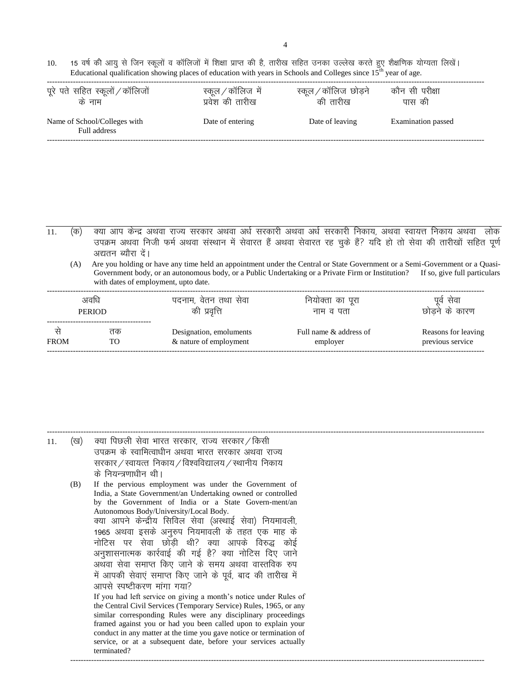10. 15 वर्ष की आयु से जिन स्कूलों व कॉलिजों में शिक्षा प्राप्त की है, तारीख सहित उनका उल्लेख करते हुए शैक्षणिक योग्यता लिखें। Educational qualification showing places of education with years in Schools and Colleges since  $15<sup>th</sup>$  year of age.

| पूरे पते सहित स्कूलों / कॉलिजों              | स्कूल / कॉलिज में | स्कूल ⁄ कॉलिज छोड़ने | कौन सी परीक्षा     |
|----------------------------------------------|-------------------|----------------------|--------------------|
| के नाम                                       | प्रवेश की तारीख   | की तारीख             | पास की             |
| Name of School/Colleges with<br>Full address | Date of entering  | Date of leaving      | Examination passed |

 $\overline{11}$ . (क) क्या आप केन्द्र अथवा राज्य सरकार अथवा अर्ध सरकारी अथवा अर्ध सरकारी निकाय, अथवा स्वायत्त निकाय अथवा लोक उपक्रम अथवा निजी फर्म अथवा संस्थान में सेवारत हैं अथवा सेवारत रह चुके हैं? यदि हो तो सेवा की तारीखों सहित पूर्ण अद्यतन ब्यौरा दें।

(A) Are you holding or have any time held an appointment under the Central or State Government or a Semi-Government or a Quasi-Government body, or an autonomous body, or a Public Undertaking or a Private Firm or Institution? If so, give full particulars with dates of employment, upto date.

| अवधि<br><b>PERIOD</b> |    | पदनाम, वेतन तथा सेवा<br>की प्रवृत्ति | नियोक्ता का पूरा<br>नाम व पता | सेवा<br>पव<br>छोडने के कारण |  |
|-----------------------|----|--------------------------------------|-------------------------------|-----------------------------|--|
| <b>FROM</b>           | तक | Designation, emoluments              | Full name & address of        | Reasons for leaving         |  |
|                       | TO | & nature of employment               | employer                      | previous service            |  |

| 11. | (ख) | क्या पिछली सेवा भारत सरकार, राज्य सरकार / किसी                      |
|-----|-----|---------------------------------------------------------------------|
|     |     | उपक्रम के स्वामित्वाधीन अथवा भारत सरकार अथवा राज्य                  |
|     |     | सरकार / स्वायत्त निकाय / विश्वविद्यालय / स्थानीय निकाय              |
|     |     | के नियन्त्रणाधीन थी।                                                |
|     | (B) | If the pervious employment was under the Government of              |
|     |     | India, a State Government/an Undertaking owned or controlled        |
|     |     | by the Government of India or a State Govern-ment/an                |
|     |     | Autonomous Body/University/Local Body.                              |
|     |     | क्या आपने केन्द्रीय सिविल सेवा (अस्थाई सेवा) नियमावली,              |
|     |     | 1965 अथवा इसके अनुरुप नियमावली के तहत एक माह के                     |
|     |     | नोटिस पर सेवा छोड़ी थी? क्या आपके विरुद्ध कोई                       |
|     |     | अनुशासनात्मक कार्रवाई की गई है? क्या नोटिस दिए जाने                 |
|     |     | अथवा सेवा समाप्त किए जाने के समय अथवा वास्तविक रुप                  |
|     |     | में आपकी सेवाएं समाप्त किए जाने के पूर्व, बाद की तारीख में          |
|     |     | आपसे स्पष्टीकरण मांगा गया?                                          |
|     |     | If you had left service on giving a month's notice under Rules of   |
|     |     | the Central Civil Services (Temporary Service) Rules, 1965, or any  |
|     |     | similar corresponding Rules were any disciplinary proceedings       |
|     |     | framed against you or had you been called upon to explain your      |
|     |     | conduct in any matter at the time you gave notice or termination of |
|     |     | service, or at a subsequent date, before your services actually     |
|     |     | terminated?                                                         |
|     |     |                                                                     |
|     |     |                                                                     |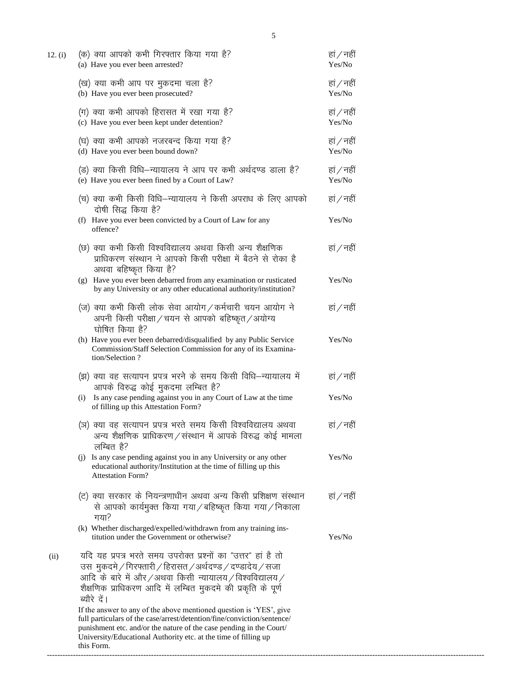| 12. (i) | (क) क्या आपको कभी गिरफ्तार किया गया है?<br>(a) Have you ever been arrested?                                                                                                                                                                                                                            | हां / नहीं<br>Yes/No |
|---------|--------------------------------------------------------------------------------------------------------------------------------------------------------------------------------------------------------------------------------------------------------------------------------------------------------|----------------------|
|         | (ख) क्या कभी आप पर मुकदमा चला है?<br>(b) Have you ever been prosecuted?                                                                                                                                                                                                                                | हां / नहीं<br>Yes/No |
|         | (ग) क्या कभी आपको हिरासत में रखा गया है?<br>(c) Have you ever been kept under detention?                                                                                                                                                                                                               | हां / नहीं<br>Yes/No |
|         | (घ) क्या कभी आपको नजरबन्द किया गया है?<br>(d) Have you ever been bound down?                                                                                                                                                                                                                           | हां / नहीं<br>Yes/No |
|         | (ड) क्या किसी विधि—न्यायालय ने आप पर कभी अर्थदण्ड डाला है?<br>(e) Have you ever been fined by a Court of Law?                                                                                                                                                                                          | हां / नहीं<br>Yes/No |
|         | (च) क्या कभी किसी विधि–न्यायालय ने किसी अपराध के लिए आपको<br>दोषी सिद्ध किया है?                                                                                                                                                                                                                       | हां / नहीं           |
|         | (f) Have you ever been convicted by a Court of Law for any<br>offence?                                                                                                                                                                                                                                 | Yes/No               |
|         | (छ) क्या कभी किसी विश्वविद्यालय अथवा किसी अन्य शैक्षणिक<br>प्राधिकरण संस्थान ने आपको किसी परीक्षा में बैठने से रोका है<br>अथवा बहिष्कृत किया है?                                                                                                                                                       | हां / नहीं           |
|         | (g) Have you ever been debarred from any examination or rusticated<br>by any University or any other educational authority/institution?                                                                                                                                                                | Yes/No               |
|         | (ज) क्या कभी किसी लोक सेवा आयोग / कर्मचारी चयन आयोग ने<br>अपनी किसी परीक्षा / चयन से आपको बहिष्कृत / अयोग्य<br>घोषित किया है?                                                                                                                                                                          | हां / नहीं           |
|         | (h) Have you ever been debarred/disqualified by any Public Service<br>Commission/Staff Selection Commission for any of its Examina-<br>tion/Selection?                                                                                                                                                 | Yes/No               |
|         | (झ) क्या वह सत्यापन प्रपत्र भरने के समय किसी विधि–न्यायालय में<br>आपके विरुद्ध कोई मुकदमा लम्बित है?                                                                                                                                                                                                   | हां / नहीं           |
|         | Is any case pending against you in any Court of Law at the time<br>(i)<br>of filling up this Attestation Form?                                                                                                                                                                                         | Yes/No               |
|         | (ञ) क्या वह सत्यापन प्रपत्र भरते समय किसी विश्वविद्यालय अथवा<br>अन्य शैक्षणिक प्राधिकरण / संस्थान में आपके विरुद्ध कोई मामला<br>लम्बित है?                                                                                                                                                             | हां / नहीं           |
|         | (j) Is any case pending against you in any University or any other<br>educational authority/Institution at the time of filling up this<br><b>Attestation Form?</b>                                                                                                                                     | Yes/No               |
|         | (ट) क्या सरकार के नियन्त्रणाधीन अथवा अन्य किसी प्रशिक्षण संस्थान<br>से आपको कार्यमुक्त किया गया/बहिष्कृत किया गया/निकाला<br>गया?                                                                                                                                                                       | हां / नहीं           |
|         | (k) Whether discharged/expelled/withdrawn from any training ins-<br>titution under the Government or otherwise?                                                                                                                                                                                        | Yes/No               |
| (ii)    | यदि यह प्रपत्र भरते समय उपरोक्त प्रश्नों का "उत्तर" हां है तो<br>उस) मुकदमे / गिरफ्तारी / हिरासत / अर्थदण्ड / दण्डादेय / सजा<br>आदि के बारे में और/अथवा किसी न्यायालय/विश्वविद्यालय/<br>शैक्षणिक प्राधिकरण आदि में लम्बित मुकदमे की प्रकृति के पूर्ण<br>ब्यौरे दें।                                    |                      |
|         | If the answer to any of the above mentioned question is 'YES', give<br>full particulars of the case/arrest/detention/fine/conviction/sentence/<br>punishment etc. and/or the nature of the case pending in the Court/<br>University/Educational Authority etc. at the time of filling up<br>this Form. |                      |

------------------------------------------------------------------------------------------------------------------------------------------------------------------------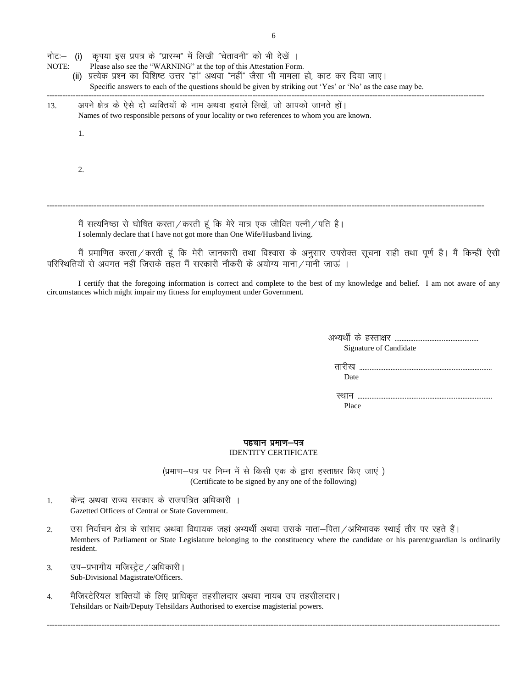नोट:— (i) कृपया इस प्रपत्र के "प्रारम्भ" में लिखी "चेतावनी" को भी देखें ।<br>NOTE: Please also see the "WARNING" at the top of this Attestation Forr

- Please also see the "WARNING" at the top of this Attestation Form.
	- (ii) प्रत्येक प्रश्न का विशिष्ट उत्तर "हां" अथवा "नहीं" जैसा भी मामला हो, काट कर दिया जाए। Specific answers to each of the questions should be given by striking out 'Yes' or 'No' as the case may be. ------------------------------------------------------------------------------------------------------------------------------------------------------------------------
- 13. अपने क्षेत्र के ऐसे दो व्यक्तियों के नाम अथवा हवाले लिखें, जो आपको जानते हों। Names of two responsible persons of your locality or two references to whom you are known.

1.

2.

मैं सत्यनिष्ठा से घोषित करता $\hspace{.5mm}/$ करती हूं कि मेरे मात्र एक जीवित पत्नी $\hspace{.5mm}/$ पति है। I solemnly declare that I have not got more than One Wife/Husband living.

मैं प्रमाणित करता / करती हूं कि मेरी जानकारी तथा विश्वास के अनुसार उपरोक्त सूचना सही तथा पूर्ण है। मैं किन्हीं ऐसी .<br>परिस्थितियों से अवगत नहीं जिसके तहत मैं सरकारी नौकरी के अयोग्य माना / मानी जाऊं ।

------------------------------------------------------------------------------------------------------------------------------------------------------------------------

I certify that the foregoing information is correct and complete to the best of my knowledge and belief. I am not aware of any circumstances which might impair my fitness for employment under Government.

> vH;Fkh Z ds gLrk{kj ------------------------------------------------ Signature of Candidate

 Rkkjh[k ---------------------------------------------------------------------------- Date

 LFkku ----------------------------------------------------------------------------- Place

#### पहचान प्रमाण-पत्र

#### IDENTITY CERTIFICATE

(प्रमाण-पत्र पर निम्न में से किसी एक के द्वारा हस्ताक्षर किए जाएं) (Certificate to be signed by any one of the following)

- 1. व्यकेन्द्र अथवा राज्य सरकार के राजपत्रित अधिकारी । Gazetted Officers of Central or State Government.
- 2. उस निर्वाचन क्षेत्र के सांसद अथवा विधायक जहां अभ्यर्थी अथवा उसके माता–पिता ⁄ अभिभावक स्थाई तौर पर रहते हैं। Members of Parliament or State Legislature belonging to the constituency where the candidate or his parent/guardian is ordinarily resident.

------------------------------------------------------------------------------------------------------------------------------------------------------------------------------

- 3. उप-प्रभागीय मजिस्ट्रेट / अधिकारी । Sub-Divisional Magistrate/Officers.
- 4. मैजिस्टेरियल शक्तियों के लिए प्राधिकृत तहसीलदार अथवा नायब उप तहसीलदार। Tehsildars or Naib/Deputy Tehsildars Authorised to exercise magisterial powers.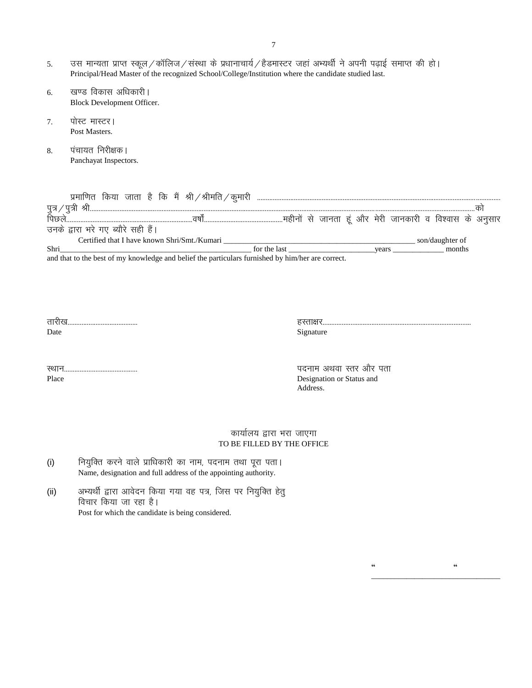- 5. जस मान्यता प्राप्त स्कूल/कॉलिज/संस्था के प्रधानाचार्य/हैडमास्टर जहां अभ्यर्थी ने अपनी पढ़ाई समाप्त की हो। Principal/Head Master of the recognized School/College/Institution where the candidate studied last.
	- 6. खण्ड विकास अधिकारी | Block Development Officer.
	- 7. पोस्ट मास्टर। Post Masters.
	- 8. पंचायत निरीक्षक। Panchayat Inspectors.

|                                              | किया जाता है कि मैं श्री $\mathcal{A}$ श्रीमति $\mathcal{A}$ कुमारी                                                  |              |       |                                                         |                 |  |
|----------------------------------------------|----------------------------------------------------------------------------------------------------------------------|--------------|-------|---------------------------------------------------------|-----------------|--|
| पत्र .                                       |                                                                                                                      |              |       |                                                         |                 |  |
|                                              |                                                                                                                      |              |       | महीनों से जानता हूं और मेरी जानकारी व विश्वास के अनुसार |                 |  |
| उनके द्वारा भरे गए ब्यौरे सही हैं।           |                                                                                                                      |              |       |                                                         |                 |  |
| Certified that I have known Shri/Smt./Kumari |                                                                                                                      |              |       |                                                         | son/daughter of |  |
| Shri                                         |                                                                                                                      | for the last | vears |                                                         | months          |  |
| 1.1.1                                        | $\mathbf{1}$ $\mathbf{1}$ $\mathbf{1}$ $\mathbf{1}$ $\mathbf{1}$ $\mathbf{1}$ $\mathbf{1}$ $\mathbf{1}$ $\mathbf{1}$ |              |       |                                                         |                 |  |

and that to the best of my knowledge and belief the particulars furnished by him/her are correct.

| Place |  |
|-------|--|

LFkku------------------------------------------ inuke vFkok Lrj vkSj irk Designation or Status and Address.

 **"**  $\alpha$  "

\_\_\_\_\_\_\_\_\_\_\_\_\_\_\_\_\_\_\_\_\_\_\_\_\_\_\_\_\_\_\_\_\_

## कार्यालय द्वारा भरा जाएगा TO BE FILLED BY THE OFFICE

- (i) fियुक्ति करने वाले प्राधिकारी का नाम, पदनाम तथा पूरा पता। Name, designation and full address of the appointing authority.
- (ii) अभ्यर्थी द्वारा आवेदन किया गया वह पत्र, जिस पर नियुक्ति हेतु विचार किया जा रहा है। Post for which the candidate is being considered.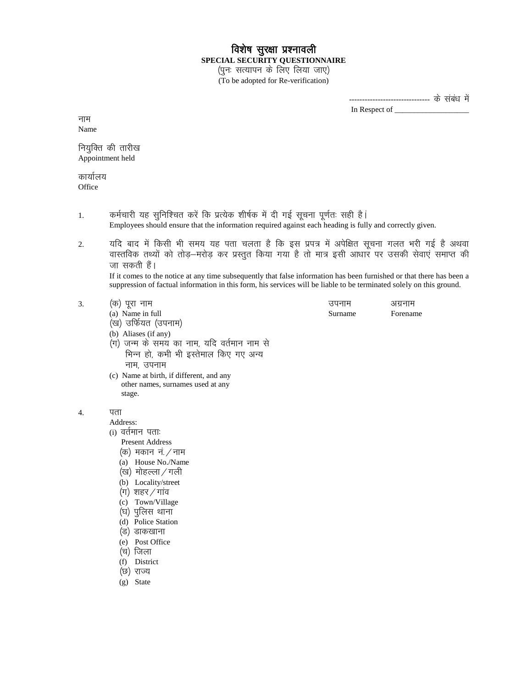# विशेष सुरक्षा प्रश्नावली **SPECIAL SECURITY QUESTIONNAIRE**

(पुनः सत्यापन के लिए लिया जाए) (To be adopted for Re-verification)

> ------------------------------- के संबंध में In Respect of \_\_\_\_\_\_\_\_\_\_\_\_\_\_\_\_\_\_\_

नाम Name

नियुक्ति की तारीख Appointment held

कार्यालय **Office** 

- 1. वर्मचारी यह सुनिश्चित करें कि प्रत्येक शीर्षक में दी गई सूचना पूर्णतः सही है। Employees should ensure that the information required against each heading is fully and correctly given.
- 2. यदि बाद में किसी भी समय यह पता चलता है कि इस प्रपत्र में अपेक्षित सूचना गलत भरी गई है अथवा वास्तविक तथ्यों को तोड़–मरोड़ कर प्रस्तुत किया गया है तो मात्र इसी आधार पर उसकी सेवाएं समाप्त की जा सकती हैं।

If it comes to the notice at any time subsequently that false information has been furnished or that there has been a suppression of factual information in this form, his services will be liable to be terminated solely on this ground.

| (क) पूरा नाम                               | उपनाम   | अग्रनाम  |
|--------------------------------------------|---------|----------|
| (a) Name in full                           | Surname | Forename |
| (ख) उर्फियत (उपनाम)                        |         |          |
| (b) Aliases (if any)                       |         |          |
| (ग) जन्म के समय का नाम, यदि वर्तमान नाम से |         |          |
| भिन्न हो, कभी भी इस्तेमाल किए गए अन्य      |         |          |
| नाम, उपनाम                                 |         |          |

(c) Name at birth, if different, and any other names, surnames used at any stage.

### 4. पता

Address:

- (i) वर्तमान पताः
	- Present Address
	- $(\sigma)$  मकान नं / नाम
	- (a) House No./Name
	- (ख) मोहल्ला/गली
	- (b) Locality/street
	- $(\pi)$  शहर / गांव
	- (c) Town/Village
	- (घ) पुलिस थाना
	- (d) Police Station
	- (ड) डाकखाना
	- (e) Post Office
	- (च) जिला
	- (f) District
	- (छ) राज्य
	- (g) State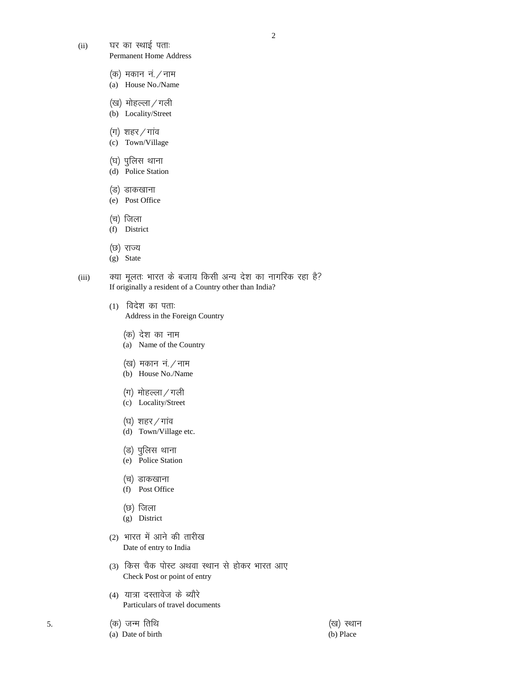2

- (ii) यर का स्थाई पता. Permanent Home Address
	- $($ क) मकान नं. $/$ नाम
	- (a) House No./Name
	- (ख) मोहल्ला / गली
	- (b) Locality/Street
	- $(\pi)$  शहर / गांव
	- (c) Town/Village
	- (घ) पुलिस थाना
	- (d) Police Station
	- (उ) डाकखाना
	- (e) Post Office
	- (च) जिला
	- (f) District
	- (छ) राज्य
	- (g) State

(iii) वया मूलतः भारत के बजाय किसी अन्य देश का नागरिक रहा है? If originally a resident of a Country other than India?

- $(1)$  विदेश का पताः Address in the Foreign Country
	- (क) देश का नाम
	- (a) Name of the Country
	- (ख) मकान नं $/$ नाम
	- (b) House No./Name
	- $(\Pi)$  मोहल्ला / गली
	- (c) Locality/Street
	- (घ) शहर / गांव
	- (d) Town/Village etc.
	- (ड) पुलिस थाना
	- (e) Police Station
	- (च) डाकखाना
	- (f) Post Office
	- (छ) जिला
	- (g) District
- (2) भारत में आने की तारीख Date of entry to India
- (3) किस चैक पोस्ट अथवा स्थान से होकर भारत आए Check Post or point of entry
- (4) यात्रा दस्तावेज के ब्यौरे Particulars of travel documents
- 5. ¼d½ tUe frfFk ¼[k½ LFkku
	- (a) Date of birth (b) Place
-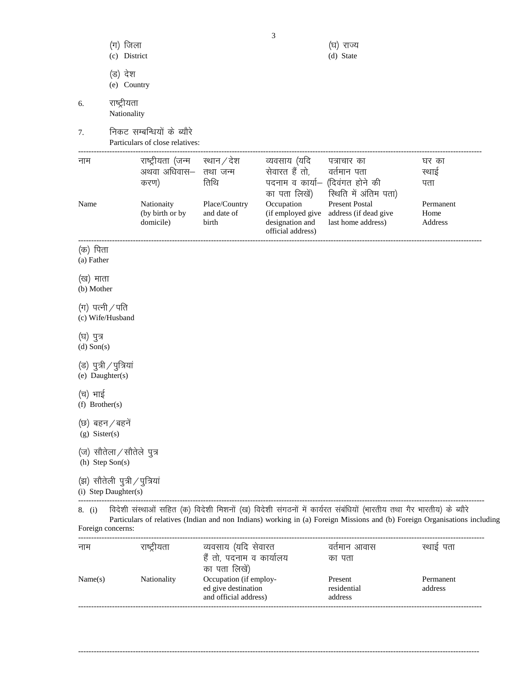|                                | (ग) जिला<br>(c) District                              |                                                               |                                                                  | 3                                                                       | (घ) राज्य<br>(d) State                                                                                                                                                                                                                         |                                     |
|--------------------------------|-------------------------------------------------------|---------------------------------------------------------------|------------------------------------------------------------------|-------------------------------------------------------------------------|------------------------------------------------------------------------------------------------------------------------------------------------------------------------------------------------------------------------------------------------|-------------------------------------|
|                                | (ड) देश<br>(e) Country                                |                                                               |                                                                  |                                                                         |                                                                                                                                                                                                                                                |                                     |
| 6.                             | राष्ट्रीयता<br>Nationality                            |                                                               |                                                                  |                                                                         |                                                                                                                                                                                                                                                |                                     |
| 7.                             |                                                       | निकट सम्बन्धियों के ब्यौरे<br>Particulars of close relatives: |                                                                  |                                                                         |                                                                                                                                                                                                                                                |                                     |
| नाम                            |                                                       | राष्ट्रीयता (जन्म<br>अथवा अधिवास–<br>करण)                     | स्थान / देश<br>तथा जन्म<br>तिथि                                  | व्यवसाय (यदि<br>सेवारत हैं तो,<br>पदनाम व कार्या–<br>का पता लिखें)      | पत्राचार का<br>वर्तमान पता<br>(दिवंगत होने की<br>रिथति में अंतिम पता)                                                                                                                                                                          | घर का<br>स्थाई<br>पता               |
| Name                           |                                                       | Nationaity<br>(by birth or by<br>domicile)                    | Place/Country<br>and date of<br>birth                            | Occupation<br>(if employed give<br>designation and<br>official address) | <b>Present Postal</b><br>address (if dead give<br>last home address)                                                                                                                                                                           | Permanent<br>Home<br><b>Address</b> |
| (क) पिता<br>(a) Father         |                                                       |                                                               |                                                                  |                                                                         |                                                                                                                                                                                                                                                |                                     |
| (ख) माता<br>(b) Mother         |                                                       |                                                               |                                                                  |                                                                         |                                                                                                                                                                                                                                                |                                     |
| $(\pi)$ पत्नी / पति            | (c) Wife/Husband                                      |                                                               |                                                                  |                                                                         |                                                                                                                                                                                                                                                |                                     |
| (घ) पुत्र<br>(d) Son(s)        |                                                       |                                                               |                                                                  |                                                                         |                                                                                                                                                                                                                                                |                                     |
| (e) Daughter(s)                | (ड) पुत्री ∕ पुत्रियां                                |                                                               |                                                                  |                                                                         |                                                                                                                                                                                                                                                |                                     |
| (च) भाई<br>$(f)$ Brother $(s)$ |                                                       |                                                               |                                                                  |                                                                         |                                                                                                                                                                                                                                                |                                     |
| $(g)$ Sister(s)                | (छ) बहन ⁄ बहने                                        |                                                               |                                                                  |                                                                         |                                                                                                                                                                                                                                                |                                     |
|                                | (ज) सौतेला / सौतेले पुत्र<br>(h) Step Son(s)          |                                                               |                                                                  |                                                                         |                                                                                                                                                                                                                                                |                                     |
|                                | (झ) सौतेली पुत्री / पुत्रियां<br>(i) Step Daughter(s) |                                                               |                                                                  |                                                                         |                                                                                                                                                                                                                                                |                                     |
| 8. (i)                         | Foreign concerns:                                     |                                                               |                                                                  |                                                                         | विदेशी संस्थाओं सहित (क) विदेशी मिशनों (ख) विदेशी संगठनों में कार्यरत संबंधियों (भारतीय तथा गैर भारतीय) के ब्यौरे<br>Particulars of relatives (Indian and non Indians) working in (a) Foreign Missions and (b) Foreign Organisations including |                                     |
| नाम                            |                                                       | राष्ट्रीयता                                                   | व्यवसाय (यदि सेवारत<br>हैं तो, पदनाम व कार्यालय<br>का पता लिखें) |                                                                         | वर्तमान आवास<br>का पता                                                                                                                                                                                                                         | स्थाई पता                           |
| Name(s)                        |                                                       | Nationality                                                   | Occupation (if employ-                                           |                                                                         | Present                                                                                                                                                                                                                                        | Permanent                           |

ed give destination residential address

and official address) address -----------------------------------------------------------------------------------------------------------------------------------------------------------

----------------------------------------------------------------------------------------------------------------------------------------------------------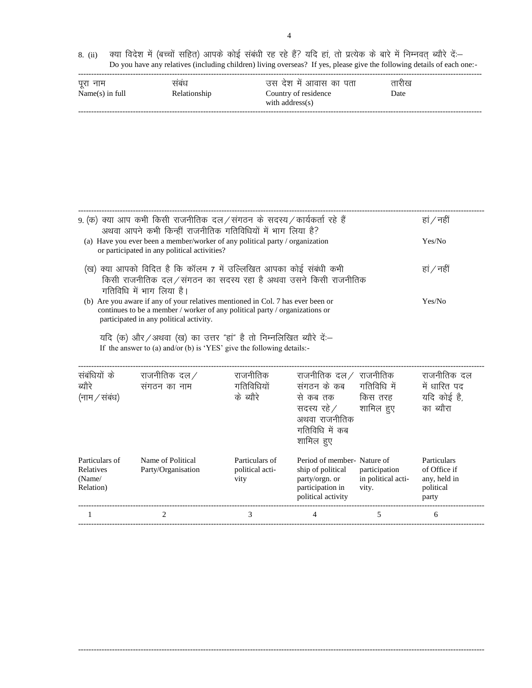8. (ii) क्या विदेश में (बच्चों सहित) आपके कोई संबंधी रह रहे हैं? यदि हां, तो प्रत्येक के बारे में निम्नवत् ब्यौरे दें:— Do you have any relatives (including children) living overseas? If yes, please give the following details of each one:-

| पूरा नाम          | सबध          | उस देश में आवास का पता                  | तारीख |  |
|-------------------|--------------|-----------------------------------------|-------|--|
| $Name(s)$ in full | Relationship | Country of residence<br>with address(s) | Date  |  |
|                   |              |                                         |       |  |

| 9. (क) क्या आप कभी किसी राजनीतिक दल ⁄ संगठन के सदस्य ⁄ कार्यकर्ता रहे हैं<br>अथवा आपने कभी किन्हीं राजनीतिक गतिविधियों में भाग लिया है?                                                                                                                                                                                                                                              | हां / नहीं                              |                                           |                                                                                                                                                        |                                              |                                                                   |
|--------------------------------------------------------------------------------------------------------------------------------------------------------------------------------------------------------------------------------------------------------------------------------------------------------------------------------------------------------------------------------------|-----------------------------------------|-------------------------------------------|--------------------------------------------------------------------------------------------------------------------------------------------------------|----------------------------------------------|-------------------------------------------------------------------|
| (a) Have you ever been a member/worker of any political party / organization<br>or participated in any political activities?                                                                                                                                                                                                                                                         | Yes/No                                  |                                           |                                                                                                                                                        |                                              |                                                                   |
| (ख) क्या आपको विदित है कि कॉलम 7 में उल्लिखित आपका कोई संबंधी कभी<br>किसी राजनीतिक दल/संगठन का सदस्य रहा है अथवा उसने किसी राजनीतिक                                                                                                                                                                                                                                                  | हां / नहीं                              |                                           |                                                                                                                                                        |                                              |                                                                   |
| गतिविधि में भाग लिया है।<br>(b) Are you aware if any of your relatives mentioned in Col. 7 has ever been or<br>continues to be a member / worker of any political party / organizations or<br>participated in any political activity.<br>यदि (क) और / अथवा (ख) का उत्तर "हा" है तो निम्नलिखित ब्यौरे दें .-<br>If the answer to (a) and/or (b) is 'YES' give the following details:- |                                         |                                           |                                                                                                                                                        |                                              | Yes/No                                                            |
| संबंधियों के<br>ब्यौरे<br>(नाम / संबंध)                                                                                                                                                                                                                                                                                                                                              | राजनीतिक दल $\angle$<br>संगठन का नाम    | राजनीतिक<br>गतिविधियों<br>के ब्यौरे       | राजनीतिक दल $\hspace{.1cm}\mathcal{}/\hspace{.1cm}$ राजनीतिक<br>संगठन के कब<br>से कब तक<br>सदस्य रहे ⁄<br>अथवा राजनीतिक<br>गतिविधि में कब<br>शामिल हुए | गतिविधि में<br>किस तरह<br>शामिल हुए          | राजनीतिक दल<br>में धारित पद<br>यदि कोई है,<br>का ब्यौरा           |
| Particulars of<br>Relatives<br>(Name/<br>Relation)                                                                                                                                                                                                                                                                                                                                   | Name of Political<br>Party/Organisation | Particulars of<br>political acti-<br>vity | Period of member-Nature of<br>ship of political<br>party/orgn. or<br>participation in<br>political activity                                            | participation<br>in political acti-<br>vity. | Particulars<br>of Office if<br>any, held in<br>political<br>party |
| 1                                                                                                                                                                                                                                                                                                                                                                                    | 2                                       | 3                                         | 4                                                                                                                                                      | 5                                            | 6                                                                 |

------------------------------------------------------------------------------------------------------------------------------------------------------------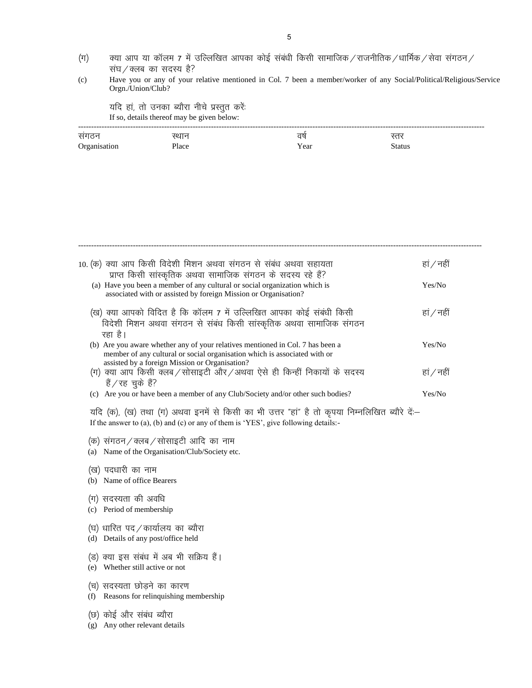- $\ket{\mathfrak{q}}$  aया आप या कॉलम 7 में उल्लिखित आपका कोई संबंधी किसी सामाजिक / राजनीतिक / धार्मिक / सेवा संगठन / संघ $/$ क्लब का सदस्य है?
- (c) Have you or any of your relative mentioned in Col. 7 been a member/worker of any Social/Political/Religious/Service Orgn./Union/Club?

यदि हां, तो उनका ब्यौरा नीचे प्रस्तुत करें: If so, details thereof may be given below:

| _____           |       |      |        |
|-----------------|-------|------|--------|
| सगठन            | रशा   | वर   | ₩      |
| Oroanisa.<br>v. | Place | Year | Status |

|     | 10. (क) क्या आप किसी विदेशी मिशन अथवा संगठन से संबंध अथवा सहायता<br>प्राप्त किसी सांस्कृतिक अथवा सामाजिक संगठन के सदस्य रहे हैं?<br>(a) Have you been a member of any cultural or social organization which is | हां / नहीं<br>Yes/No |
|-----|----------------------------------------------------------------------------------------------------------------------------------------------------------------------------------------------------------------|----------------------|
|     | associated with or assisted by foreign Mission or Organisation?<br>(ख) क्या आपको विदित है कि कॉलम 7 में उल्लिखित आपका कोई संबंधी किसी                                                                          | हां / नहीं           |
|     | विदेशी मिशन अथवा संगठन से संबंध किसी सांस्कृतिक अथवा सामाजिक संगठन<br>रहा है।                                                                                                                                  |                      |
|     | (b) Are you aware whether any of your relatives mentioned in Col. 7 has been a<br>member of any cultural or social organisation which is associated with or<br>assisted by a foreign Mission or Organisation?  | Yes/No               |
|     | (ग) क्या आप किसी क्लब / सोसाइटी और / अथवा ऐसे ही किन्हीं निकायों के सदस्य<br>है/रह चुके हैं?<br>(c) Are you or have been a member of any Club/Society and/or other such bodies?                                | हां / नहीं<br>Yes/No |
|     | यदि (क), (ख) तथा (ग) अथवा इनमें से किसी का भी उत्तर "हां" है तो कृपया निम्नलिखित ब्यौरे दें:--<br>If the answer to (a), (b) and (c) or any of them is 'YES', give following details:-                          |                      |
| (a) | (क) संगठन / क्लब / सोसाइटी आदि का नाम<br>Name of the Organisation/Club/Society etc.                                                                                                                            |                      |
|     | (ख) पदधारी का नाम<br>(b) Name of office Bearers                                                                                                                                                                |                      |
|     | (ग) सदस्यता की अवधि<br>(c) Period of membership                                                                                                                                                                |                      |
|     | (घ) धारित पद ⁄ कार्यालय का ब्यौरा<br>(d) Details of any post/office held                                                                                                                                       |                      |
|     | (ड) क्या इस संबंध में अब भी सक्रिय हैं।<br>(e) Whether still active or not                                                                                                                                     |                      |
| (f) | (च) सदस्यता छोडने का कारण<br>Reasons for relinquishing membership                                                                                                                                              |                      |
| (g) | (छ) कोई और संबंध ब्यौरा<br>Any other relevant details                                                                                                                                                          |                      |
|     |                                                                                                                                                                                                                |                      |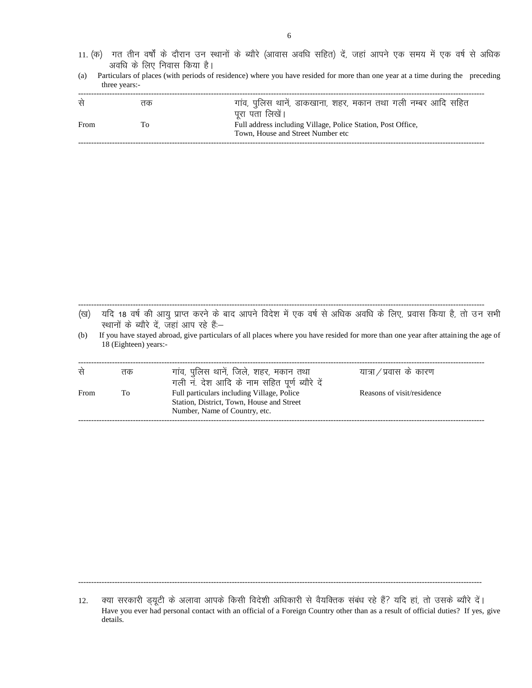- 11. (क) गत तीन वर्षों के दौरान उन स्थानों के ब्यौरे (आवास अवधि सहित) दें, जहां आपने एक समय में एक वर्ष से अधिक अवधि के लिए निवास किया है।
- (a) Particulars of places (with periods of residence) where you have resided for more than one year at a time during the preceding three years:-

| से   | तक | गांव, पुलिस थानें, डाकखाना, शहर, मकान तथा गली नम्बर आदि सहित |
|------|----|--------------------------------------------------------------|
|      |    | पूरा पता लिखें।                                              |
| From | Τo | Full address including Village, Police Station, Post Office, |
|      |    | Town, House and Street Number etc                            |
|      |    |                                                              |

(ख) यदि 18 वर्ष की आयु प्राप्त करने के बाद आपने विदेश में एक वर्ष से अधिक अवधि के लिए, प्रवास किया है, तो उन सभी रथानों के ब्यौरे दें, जहां आप रहे हैं.-

------------------------------------------------------------------------------------------------------------------------------------------------------------

(b) If you have stayed abroad, give particulars of all places where you have resided for more than one year after attaining the age of 18 (Eighteen) years:-

| रने  | तक | गांव, पुलिस थाने, जिले, शहर, मकान तथा<br>गली न. देश आदि के नाम सहित पूर्ण ब्यौरे दे     | यात्रा ⁄ प्रवास के कारण    |
|------|----|-----------------------------------------------------------------------------------------|----------------------------|
| From | To | Full particulars including Village, Police<br>Station, District, Town, House and Street | Reasons of visit/residence |
|      |    | Number, Name of Country, etc.                                                           |                            |

-----------------------------------------------------------------------------------------------------------------------------------------------------------

<sup>12.</sup> व्या सरकारी ड्यूटी के अलावा आपके किसी विदेशी अधिकारी से वैयक्तिक संबंध रहे हैं? यदि हां, तो उसके ब्यौरे दें। Have you ever had personal contact with an official of a Foreign Country other than as a result of official duties? If yes, give details.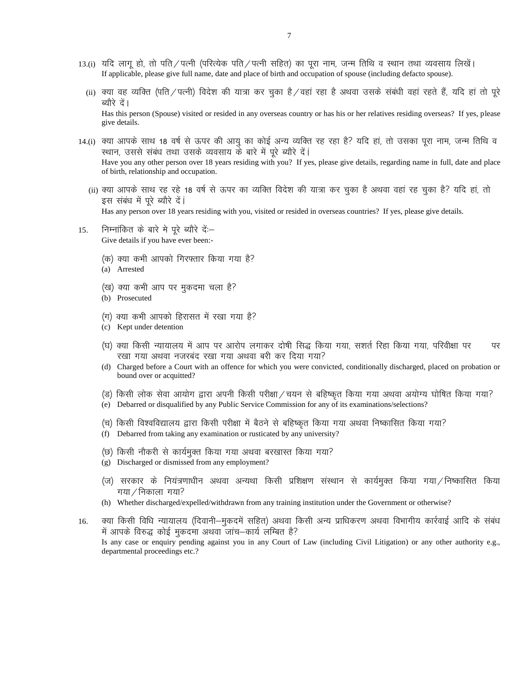- 13.(i) यदि लागु हो, तो पति ⁄पत्नी (परित्येक पति ⁄पत्नी सहित) का पुरा नाम, जन्म तिथि व स्थान तथा व्यवसाय लिखें। If applicable, please give full name, date and place of birth and occupation of spouse (including defacto spouse).
	- (ii) क्या वह व्यक्ति (पति / पत्नी) विदेश की यात्रा कर चुका है / वहां रहा है अथवा उसके संबंधी वहां रहते हैं, यदि हां तो पूरे ब्यौरे दें। Has this person (Spouse) visited or resided in any overseas country or has his or her relatives residing overseas? If yes, please give details.
- 14.(i) क्या आपके साथ 18 वर्ष से ऊपर की आयु का कोई अन्य व्यक्ति रह रहा है? यदि हां, तो उसका पूरा नाम, जन्म तिथि व स्थान, उससे संबंध तथा उसके व्यवसाय के बारे में पुरे ब्यौरे दें। Have you any other person over 18 years residing with you? If yes, please give details, regarding name in full, date and place of birth, relationship and occupation.
	- (ii) क्या आपके साथ रह रहे 18 वर्ष से ऊपर का व्यक्ति विदेश की यात्रा कर चुका है अथवा वहां रह चुका है? यदि हां, तो इस संबंध में पूरे ब्यौरे दें। Has any person over 18 years residing with you, visited or resided in overseas countries? If yes, please give details.
- 15. निम्नांकित के बारे मे पूरे ब्यौरे दें:— Give details if you have ever been:-
	- (क) क्या कभी आपको गिरफ्तार किया गया है?
	- (a) Arrested
	- (ख) क्या कभी आप पर मुकदमा चला है?
	- (b) Prosecuted
	- (ग) क्या कभी आपको हिरासत में रखा गया है?
	- (c) Kept under detention
	- (घ) क्या किसी न्यायालय में आप पर आरोप लगाकर दोषी सिद्ध किया गया, सशर्त रिहा किया गया, परिवीक्षा पर पर रखा गया अथवा नजरबंद रखा गया अथवा बरी कर दिया गया?
	- (d) Charged before a Court with an offence for which you were convicted, conditionally discharged, placed on probation or bound over or acquitted?
	- (ड) किसी लोक सेवा आयोग द्वारा अपनी किसी परीक्षा ⁄ चयन से बहिष्कृत किया गया अथवा अयोग्य घोषित किया गया?
	- (e) Debarred or disqualified by any Public Service Commission for any of its examinations/selections?
	- (च) किसी विश्वविद्यालय द्वारा किसी परीक्षा में बैठने से बहिष्कृत किया गया अथवा निष्कासित किया गया?
	- (f) Debarred from taking any examination or rusticated by any university?
	- (छ) किसी नौकरी से कार्यमुक्त किया गया अथवा बरखास्त किया गया?
	- (g) Discharged or dismissed from any employment?
	- (ज) सरकार के नियंत्रणाधीन अथवा अन्यथा किसी प्रशिक्षण संस्थान से कार्यमुक्त किया गया ⁄निष्कासित किया  $\eta$ गया $\ell$  निकाला गया?
	- (h) Whether discharged/expelled/withdrawn from any training institution under the Government or otherwise?
- 16. वया किसी विधि न्यायालय (दिवानी–मुकदमें सहित) अथवा किसी अन्य प्राधिकरण अथवा विभागीय कार्रवाई आदि के संबंध में आपके विरुद्ध कोई मुकदमा अथवा जांच–कार्य लम्बित है? Is any case or enquiry pending against you in any Court of Law (including Civil Litigation) or any other authority e.g., departmental proceedings etc.?